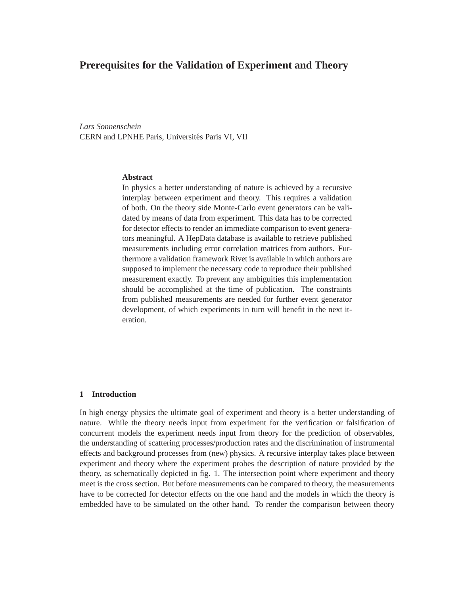# **Prerequisites for the Validation of Experiment and Theory**

*Lars Sonnenschein* CERN and LPNHE Paris, Universités Paris VI, VII

### **Abstract**

In physics a better understanding of nature is achieved by a recursive interplay between experiment and theory. This requires a validation of both. On the theory side Monte-Carlo event generators can be validated by means of data from experiment. This data has to be corrected for detector effects to render an immediate comparison to event generators meaningful. A HepData database is available to retrieve published measurements including error correlation matrices from authors. Furthermore a validation framework Rivet is available in which authors are supposed to implement the necessary code to reproduce their published measurement exactly. To prevent any ambiguities this implementation should be accomplished at the time of publication. The constraints from published measurements are needed for further event generator development, of which experiments in turn will benefit in the next iteration.

### **1 Introduction**

In high energy physics the ultimate goal of experiment and theory is a better understanding of nature. While the theory needs input from experiment for the verification or falsification of concurrent models the experiment needs input from theory for the prediction of observables, the understanding of scattering processes/production rates and the discrimination of instrumental effects and background processes from (new) physics. A recursive interplay takes place between experiment and theory where the experiment probes the description of nature provided by the theory, as schematically depicted in fig. 1. The intersection point where experiment and theory meet is the cross section. But before measurements can be compared to theory, the measurements have to be corrected for detector effects on the one hand and the models in which the theory is embedded have to be simulated on the other hand. To render the comparison between theory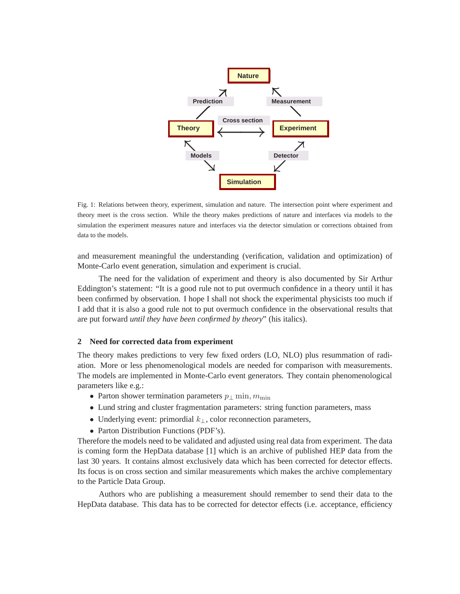

Fig. 1: Relations between theory, experiment, simulation and nature. The intersection point where experiment and theory meet is the cross section. While the theory makes predictions of nature and interfaces via models to the simulation the experiment measures nature and interfaces via the detector simulation or corrections obtained from data to the models.

and measurement meaningful the understanding (verification, validation and optimization) of Monte-Carlo event generation, simulation and experiment is crucial.

The need for the validation of experiment and theory is also documented by Sir Arthur Eddington's statement: "It is a good rule not to put overmuch confidence in a theory until it has been confirmed by observation. I hope I shall not shock the experimental physicists too much if I add that it is also a good rule not to put overmuch confidence in the observational results that are put forward *until they have been confirmed by theory*" (his italics).

### **2 Need for corrected data from experiment**

The theory makes predictions to very few fixed orders (LO, NLO) plus resummation of radiation. More or less phenomenological models are needed for comparison with measurements. The models are implemented in Monte-Carlo event generators. They contain phenomenological parameters like e.g.:

- Parton shower termination parameters  $p_{\perp}$  min,  $m_{\text{min}}$
- Lund string and cluster fragmentation parameters: string function parameters, mass
- Underlying event: primordial  $k_{\perp}$ , color reconnection parameters,
- Parton Distribution Functions (PDF's).

Therefore the models need to be validated and adjusted using real data from experiment. The data is coming form the HepData database [1] which is an archive of published HEP data from the last 30 years. It contains almost exclusively data which has been corrected for detector effects. Its focus is on cross section and similar measurements which makes the archive complementary to the Particle Data Group.

Authors who are publishing a measurement should remember to send their data to the HepData database. This data has to be corrected for detector effects (i.e. acceptance, efficiency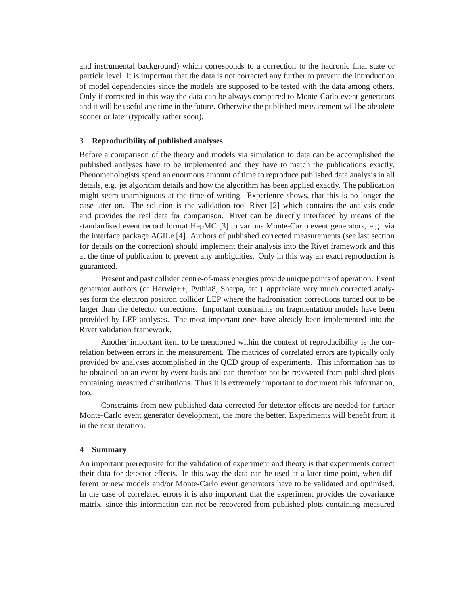and instrumental background) which corresponds to a correction to the hadronic final state or particle level. It is important that the data is not corrected any further to prevent the introduction of model dependencies since the models are supposed to be tested with the data among others. Only if corrected in this way the data can be always compared to Monte-Carlo event generators and it will be useful any time in the future. Otherwise the published measurement will be obsolete sooner or later (typically rather soon).

# **3 Reproducibility of published analyses**

Before a comparison of the theory and models via simulation to data can be accomplished the published analyses have to be implemented and they have to match the publications exactly. Phenomenologists spend an enormous amount of time to reproduce published data analysis in all details, e.g. jet algorithm details and how the algorithm has been applied exactly. The publication might seem unambiguous at the time of writing. Experience shows, that this is no longer the case later on. The solution is the validation tool Rivet [2] which contains the analysis code and provides the real data for comparison. Rivet can be directly interfaced by means of the standardised event record format HepMC [3] to various Monte-Carlo event generators, e.g. via the interface package AGILe [4]. Authors of published corrected measurements (see last section for details on the correction) should implement their analysis into the Rivet framework and this at the time of publication to prevent any ambiguities. Only in this way an exact reproduction is guaranteed.

Present and past collider centre-of-mass energies provide unique points of operation. Event generator authors (of Herwig++, Pythia8, Sherpa, etc.) appreciate very much corrected analyses form the electron positron collider LEP where the hadronisation corrections turned out to be larger than the detector corrections. Important constraints on fragmentation models have been provided by LEP analyses. The most important ones have already been implemented into the Rivet validation framework.

Another important item to be mentioned within the context of reproducibility is the correlation between errors in the measurement. The matrices of correlated errors are typically only provided by analyses accomplished in the QCD group of experiments. This information has to be obtained on an event by event basis and can therefore not be recovered from published plots containing measured distributions. Thus it is extremely important to document this information, too.

Constraints from new published data corrected for detector effects are needed for further Monte-Carlo event generator development, the more the better. Experiments will benefit from it in the next iteration.

## **4 Summary**

An important prerequisite for the validation of experiment and theory is that experiments correct their data for detector effects. In this way the data can be used at a later time point, when different or new models and/or Monte-Carlo event generators have to be validated and optimised. In the case of correlated errors it is also important that the experiment provides the covariance matrix, since this information can not be recovered from published plots containing measured